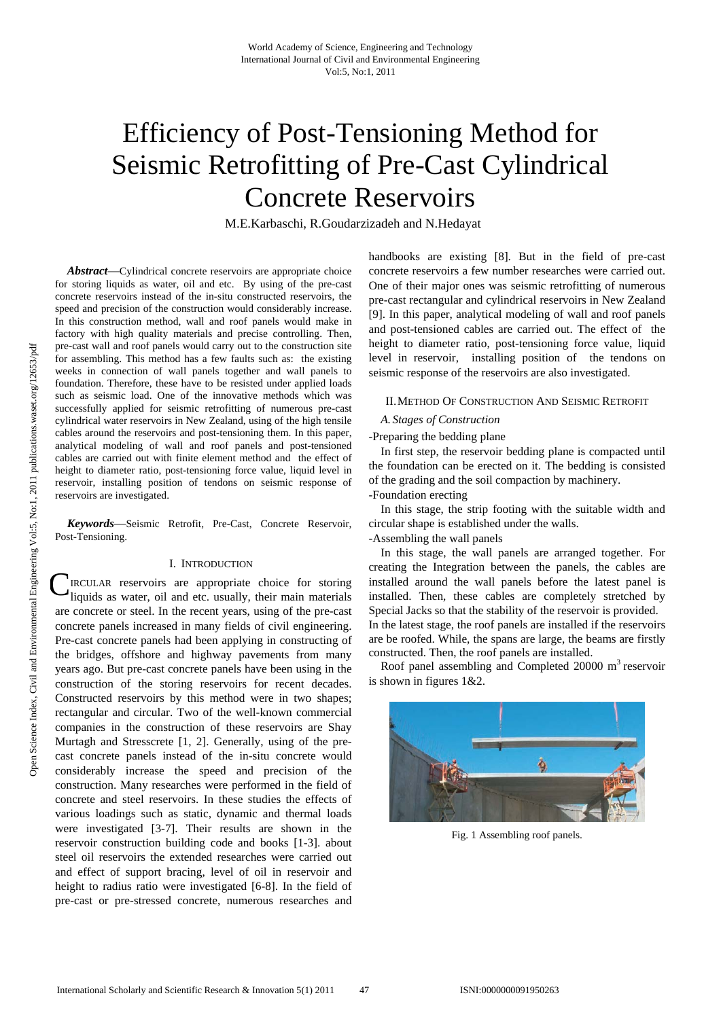# Efficiency of Post-Tensioning Method for Seismic Retrofitting of Pre-Cast Cylindrical Concrete Reservoirs

M.E.Karbaschi, R.Goudarzizadeh and N.Hedayat

*Abstract*—Cylindrical concrete reservoirs are appropriate choice for storing liquids as water, oil and etc. By using of the pre-cast concrete reservoirs instead of the in-situ constructed reservoirs, the speed and precision of the construction would considerably increase. In this construction method, wall and roof panels would make in factory with high quality materials and precise controlling. Then, pre-cast wall and roof panels would carry out to the construction site for assembling. This method has a few faults such as: the existing weeks in connection of wall panels together and wall panels to foundation. Therefore, these have to be resisted under applied loads such as seismic load. One of the innovative methods which was successfully applied for seismic retrofitting of numerous pre-cast cylindrical water reservoirs in New Zealand, using of the high tensile cables around the reservoirs and post-tensioning them. In this paper, analytical modeling of wall and roof panels and post-tensioned cables are carried out with finite element method and the effect of height to diameter ratio, post-tensioning force value, liquid level in reservoir, installing position of tendons on seismic response of reservoirs are investigated.

*Keywords*—Seismic Retrofit, Pre-Cast, Concrete Reservoir, Post-Tensioning.

# I. INTRODUCTION

**C**IRCULAR reservoirs are appropriate choice for storing liquids as water, oil and etc. usually, their main materials liquids as water, oil and etc. usually, their main materials are concrete or steel. In the recent years, using of the pre-cast concrete panels increased in many fields of civil engineering. Pre-cast concrete panels had been applying in constructing of the bridges, offshore and highway pavements from many years ago. But pre-cast concrete panels have been using in the construction of the storing reservoirs for recent decades. Constructed reservoirs by this method were in two shapes; rectangular and circular. Two of the well-known commercial companies in the construction of these reservoirs are Shay Murtagh and Stresscrete [1, 2]. Generally, using of the precast concrete panels instead of the in-situ concrete would considerably increase the speed and precision of the construction. Many researches were performed in the field of concrete and steel reservoirs. In these studies the effects of various loadings such as static, dynamic and thermal loads were investigated [3-7]. Their results are shown in the reservoir construction building code and books [1-3]. about steel oil reservoirs the extended researches were carried out and effect of support bracing, level of oil in reservoir and height to radius ratio were investigated [6-8]. In the field of pre-cast or pre-stressed concrete, numerous researches and

handbooks are existing [8]. But in the field of pre-cast concrete reservoirs a few number researches were carried out. One of their major ones was seismic retrofitting of numerous pre-cast rectangular and cylindrical reservoirs in New Zealand [9]. In this paper, analytical modeling of wall and roof panels and post-tensioned cables are carried out. The effect of the height to diameter ratio, post-tensioning force value, liquid level in reservoir, installing position of the tendons on seismic response of the reservoirs are also investigated.

#### II.METHOD OF CONSTRUCTION AND SEISMIC RETROFIT

## *A. Stages of Construction*

## -Preparing the bedding plane

In first step, the reservoir bedding plane is compacted until the foundation can be erected on it. The bedding is consisted of the grading and the soil compaction by machinery.

# -Foundation erecting

In this stage, the strip footing with the suitable width and circular shape is established under the walls.

# -Assembling the wall panels

In this stage, the wall panels are arranged together. For creating the Integration between the panels, the cables are installed around the wall panels before the latest panel is installed. Then, these cables are completely stretched by Special Jacks so that the stability of the reservoir is provided. In the latest stage, the roof panels are installed if the reservoirs are be roofed. While, the spans are large, the beams are firstly constructed. Then, the roof panels are installed.

Roof panel assembling and Completed  $20000 \text{ m}^3$  reservoir is shown in figures 1&2.



Fig. 1 Assembling roof panels.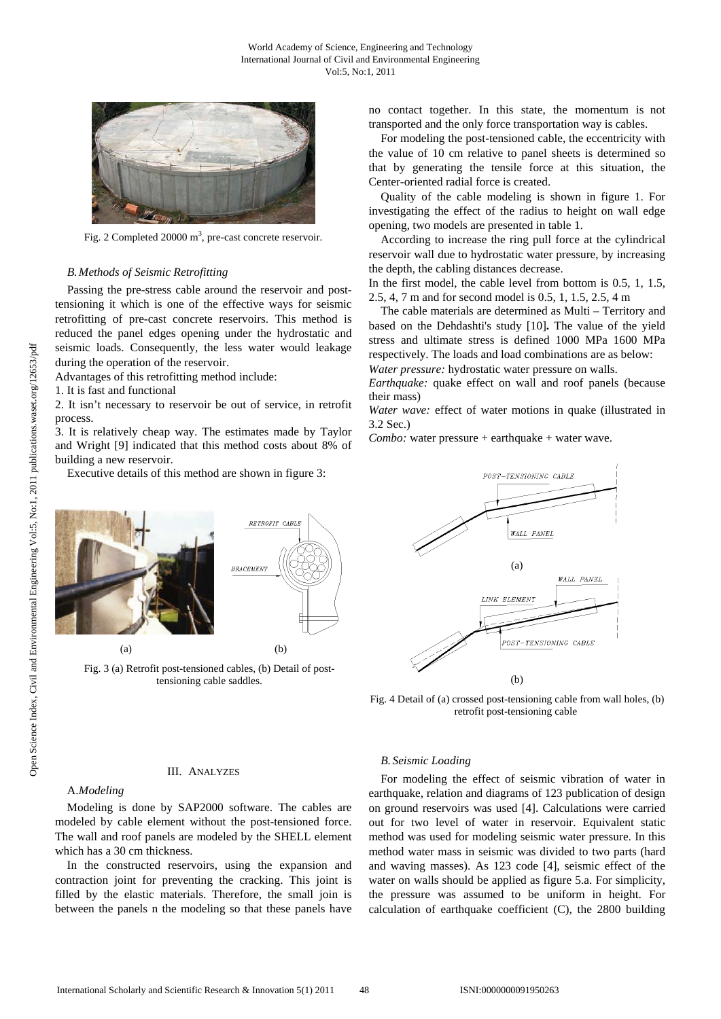

Fig. 2 Completed 20000  $m<sup>3</sup>$ , pre-cast concrete reservoir.

## *B.Methods of Seismic Retrofitting*

Passing the pre-stress cable around the reservoir and posttensioning it which is one of the effective ways for seismic retrofitting of pre-cast concrete reservoirs. This method is reduced the panel edges opening under the hydrostatic and seismic loads. Consequently, the less water would leakage during the operation of the reservoir.

Advantages of this retrofitting method include:

1. It is fast and functional

2. It isn't necessary to reservoir be out of service, in retrofit process.

3. It is relatively cheap way. The estimates made by Taylor and Wright [9] indicated that this method costs about 8% of building a new reservoir.

Executive details of this method are shown in figure 3:



Fig. 3 (a) Retrofit post-tensioned cables, (b) Detail of posttensioning cable saddles.

no contact together. In this state, the momentum is not transported and the only force transportation way is cables.

For modeling the post-tensioned cable, the eccentricity with the value of 10 cm relative to panel sheets is determined so that by generating the tensile force at this situation, the Center-oriented radial force is created.

Quality of the cable modeling is shown in figure 1. For investigating the effect of the radius to height on wall edge opening, two models are presented in table 1.

According to increase the ring pull force at the cylindrical reservoir wall due to hydrostatic water pressure, by increasing the depth, the cabling distances decrease.

In the first model, the cable level from bottom is 0.5, 1, 1.5, 2.5, 4, 7 m and for second model is 0.5, 1, 1.5, 2.5, 4 m

The cable materials are determined as Multi – Territory and based on the Dehdashti's study [10]**.** The value of the yield stress and ultimate stress is defined 1000 MPa 1600 MPa respectively. The loads and load combinations are as below:

*Water pressure:* hydrostatic water pressure on walls.

*Earthquake:* quake effect on wall and roof panels (because their mass)

*Water wave:* effect of water motions in quake (illustrated in 3.2 Sec.)

*Combo:* water pressure + earthquake + water wave.



Fig. 4 Detail of (a) crossed post-tensioning cable from wall holes, (b) retrofit post-tensioning cable

#### III. ANALYZES

## A.*Modeling*

Modeling is done by SAP2000 software. The cables are modeled by cable element without the post-tensioned force. The wall and roof panels are modeled by the SHELL element which has a 30 cm thickness.

In the constructed reservoirs, using the expansion and contraction joint for preventing the cracking. This joint is filled by the elastic materials. Therefore, the small join is between the panels n the modeling so that these panels have

# *B. Seismic Loading*

For modeling the effect of seismic vibration of water in earthquake, relation and diagrams of 123 publication of design on ground reservoirs was used [4]. Calculations were carried out for two level of water in reservoir. Equivalent static method was used for modeling seismic water pressure. In this method water mass in seismic was divided to two parts (hard and waving masses). As 123 code [4], seismic effect of the water on walls should be applied as figure 5.a. For simplicity, the pressure was assumed to be uniform in height. For calculation of earthquake coefficient (C), the 2800 building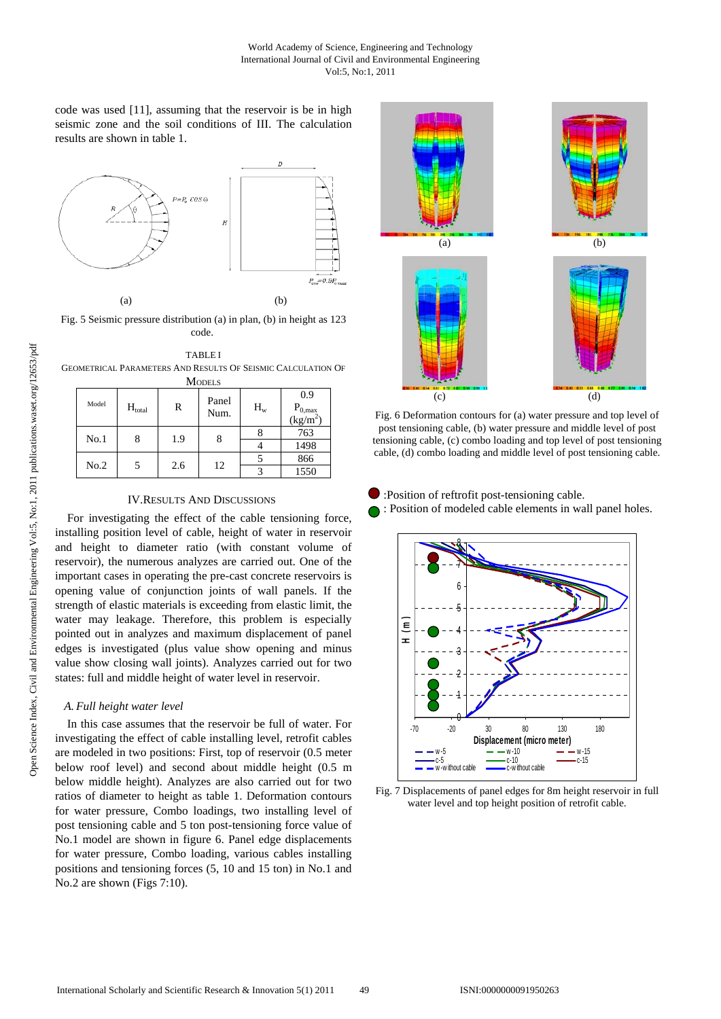code was used [11], assuming that the reservoir is be in high seismic zone and the soil conditions of III. The calculation results are shown in table 1.



Fig. 5 Seismic pressure distribution (a) in plan, (b) in height as 123 code.

TABLE I GEOMETRICAL PARAMETERS AND RESULTS OF SEISMIC CALCULATION OF  $M$ ODELS

| ------- |       |             |     |               |       |                                   |
|---------|-------|-------------|-----|---------------|-------|-----------------------------------|
|         | Model | $H_{total}$ | R   | Panel<br>Num. | $H_w$ | 0.9<br>$P_{0, max}$<br>$(kg/m^2)$ |
|         | No.1  | 8           | 1.9 | 8             |       | 763                               |
|         |       |             |     |               |       | 1498                              |
|         | No.2  |             | 2.6 | 12            |       | 866                               |
|         |       |             |     |               |       | 1550                              |

# IV.RESULTS AND DISCUSSIONS

For investigating the effect of the cable tensioning force, installing position level of cable, height of water in reservoir and height to diameter ratio (with constant volume of reservoir), the numerous analyzes are carried out. One of the important cases in operating the pre-cast concrete reservoirs is opening value of conjunction joints of wall panels. If the strength of elastic materials is exceeding from elastic limit, the water may leakage. Therefore, this problem is especially pointed out in analyzes and maximum displacement of panel edges is investigated (plus value show opening and minus value show closing wall joints). Analyzes carried out for two states: full and middle height of water level in reservoir.

# *A. Full height water level*

In this case assumes that the reservoir be full of water. For investigating the effect of cable installing level, retrofit cables are modeled in two positions: First, top of reservoir (0.5 meter below roof level) and second about middle height (0.5 m below middle height). Analyzes are also carried out for two ratios of diameter to height as table 1. Deformation contours for water pressure, Combo loadings, two installing level of post tensioning cable and 5 ton post-tensioning force value of No.1 model are shown in figure 6. Panel edge displacements for water pressure, Combo loading, various cables installing positions and tensioning forces (5, 10 and 15 ton) in No.1 and No.2 are shown (Figs 7:10).



Fig. 6 Deformation contours for (a) water pressure and top level of post tensioning cable, (b) water pressure and middle level of post tensioning cable, (c) combo loading and top level of post tensioning cable, (d) combo loading and middle level of post tensioning cable.

- :Position of reftrofit post-tensioning cable.
- : Position of modeled cable elements in wall panel holes.



Fig. 7 Displacements of panel edges for 8m height reservoir in full water level and top height position of retrofit cable.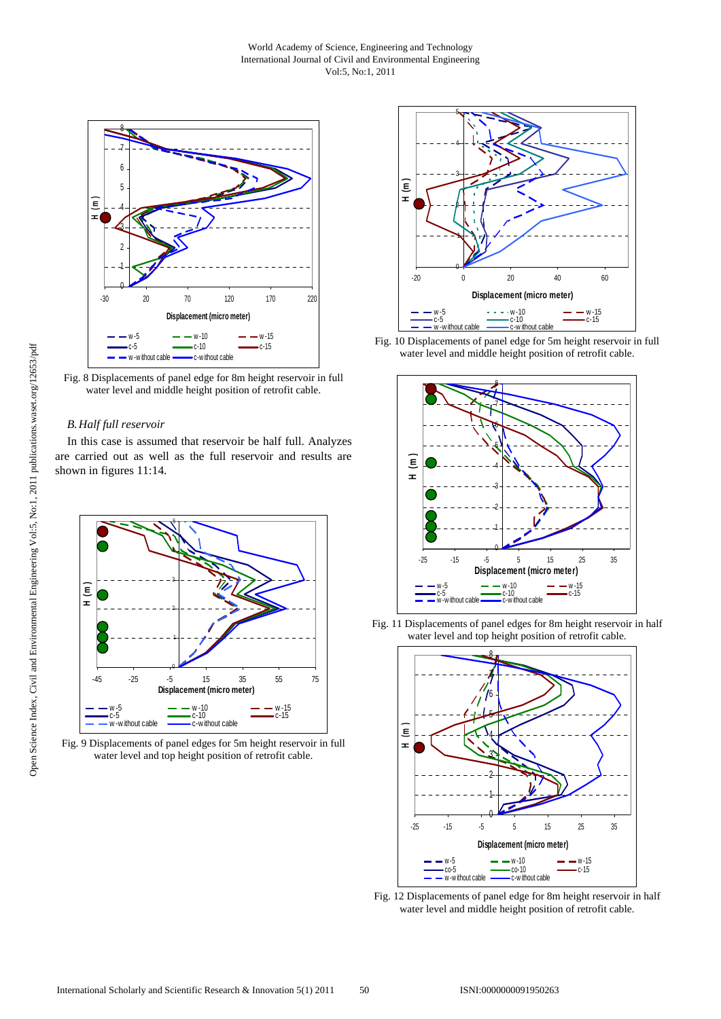



Fig. 8 Displacements of panel edge for 8m height reservoir in full water level and middle height position of retrofit cable.

## *B.Half full reservoir*

In this case is assumed that reservoir be half full. Analyzes are carried out as well as the full reservoir and results are shown in figures 11:14.



Fig. 9 Displacements of panel edges for 5m height reservoir in full water level and top height position of retrofit cable.



Fig. 10 Displacements of panel edge for 5m height reservoir in full water level and middle height position of retrofit cable.



Fig. 11 Displacements of panel edges for 8m height reservoir in half water level and top height position of retrofit cable.



Fig. 12 Displacements of panel edge for 8m height reservoir in half water level and middle height position of retrofit cable.